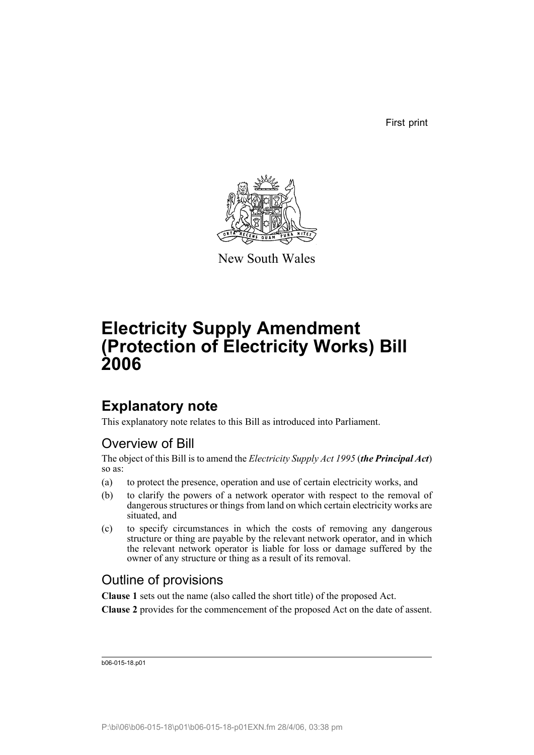First print



New South Wales

# **Electricity Supply Amendment (Protection of Electricity Works) Bill 2006**

## **Explanatory note**

This explanatory note relates to this Bill as introduced into Parliament.

### Overview of Bill

The object of this Bill is to amend the *Electricity Supply Act 1995* (*the Principal Act*) so as:

- (a) to protect the presence, operation and use of certain electricity works, and
- (b) to clarify the powers of a network operator with respect to the removal of dangerous structures or things from land on which certain electricity works are situated, and
- (c) to specify circumstances in which the costs of removing any dangerous structure or thing are payable by the relevant network operator, and in which the relevant network operator is liable for loss or damage suffered by the owner of any structure or thing as a result of its removal.

### Outline of provisions

**Clause 1** sets out the name (also called the short title) of the proposed Act. **Clause 2** provides for the commencement of the proposed Act on the date of assent.

b06-015-18.p01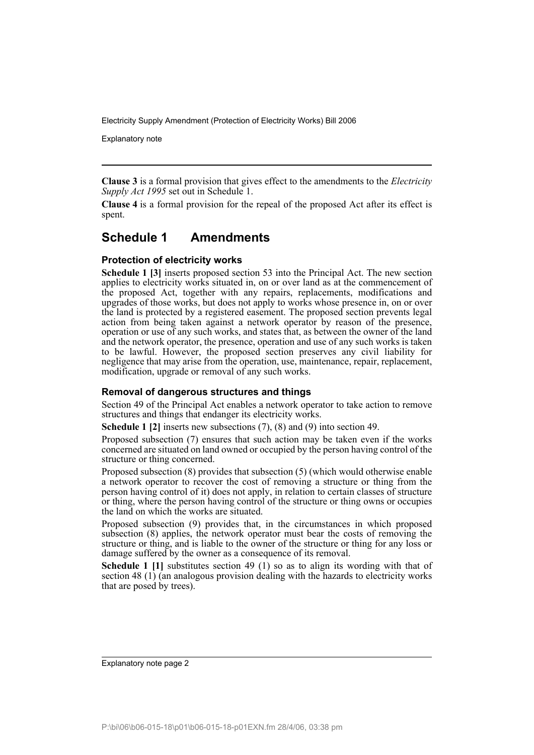Explanatory note

**Clause 3** is a formal provision that gives effect to the amendments to the *Electricity Supply Act 1995* set out in Schedule 1.

**Clause 4** is a formal provision for the repeal of the proposed Act after its effect is spent.

### **Schedule 1 Amendments**

#### **Protection of electricity works**

**Schedule 1 [3]** inserts proposed section 53 into the Principal Act. The new section applies to electricity works situated in, on or over land as at the commencement of the proposed Act, together with any repairs, replacements, modifications and upgrades of those works, but does not apply to works whose presence in, on or over the land is protected by a registered easement. The proposed section prevents legal action from being taken against a network operator by reason of the presence, operation or use of any such works, and states that, as between the owner of the land and the network operator, the presence, operation and use of any such works is taken to be lawful. However, the proposed section preserves any civil liability for negligence that may arise from the operation, use, maintenance, repair, replacement, modification, upgrade or removal of any such works.

#### **Removal of dangerous structures and things**

Section 49 of the Principal Act enables a network operator to take action to remove structures and things that endanger its electricity works.

**Schedule 1 [2]** inserts new subsections (7), (8) and (9) into section 49.

Proposed subsection (7) ensures that such action may be taken even if the works concerned are situated on land owned or occupied by the person having control of the structure or thing concerned.

Proposed subsection (8) provides that subsection (5) (which would otherwise enable a network operator to recover the cost of removing a structure or thing from the person having control of it) does not apply, in relation to certain classes of structure or thing, where the person having control of the structure or thing owns or occupies the land on which the works are situated.

Proposed subsection (9) provides that, in the circumstances in which proposed subsection (8) applies, the network operator must bear the costs of removing the structure or thing, and is liable to the owner of the structure or thing for any loss or damage suffered by the owner as a consequence of its removal.

**Schedule 1 [1]** substitutes section 49 (1) so as to align its wording with that of section 48 (1) (an analogous provision dealing with the hazards to electricity works that are posed by trees).

Explanatory note page 2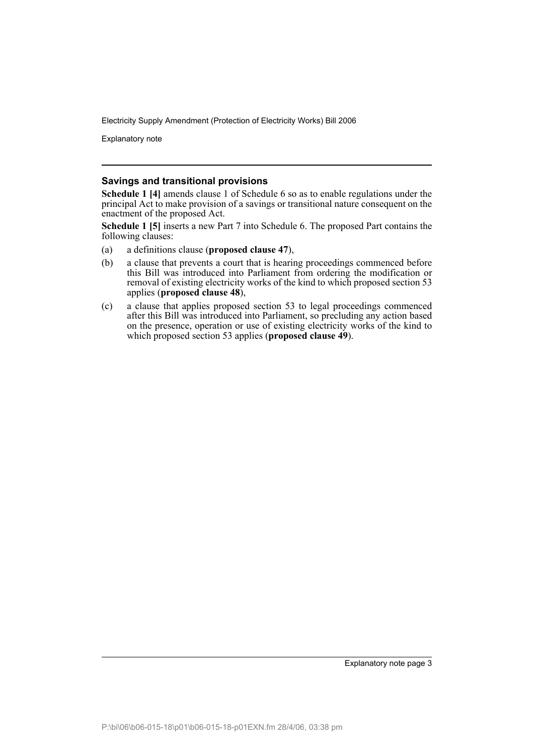Explanatory note

#### **Savings and transitional provisions**

**Schedule 1 [4]** amends clause 1 of Schedule 6 so as to enable regulations under the principal Act to make provision of a savings or transitional nature consequent on the enactment of the proposed Act.

**Schedule 1 [5]** inserts a new Part 7 into Schedule 6. The proposed Part contains the following clauses:

- (a) a definitions clause (**proposed clause 47**),
- (b) a clause that prevents a court that is hearing proceedings commenced before this Bill was introduced into Parliament from ordering the modification or removal of existing electricity works of the kind to which proposed section 53 applies (**proposed clause 48**),
- (c) a clause that applies proposed section 53 to legal proceedings commenced after this Bill was introduced into Parliament, so precluding any action based on the presence, operation or use of existing electricity works of the kind to which proposed section 53 applies (**proposed clause 49**).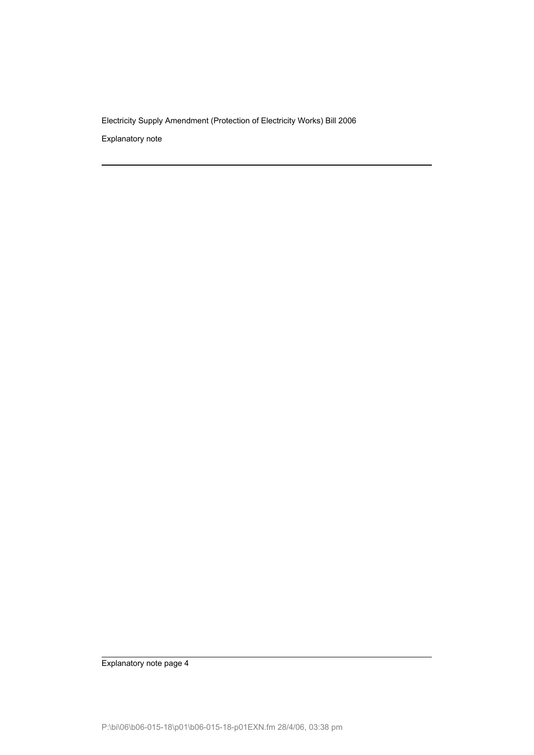Explanatory note

Explanatory note page 4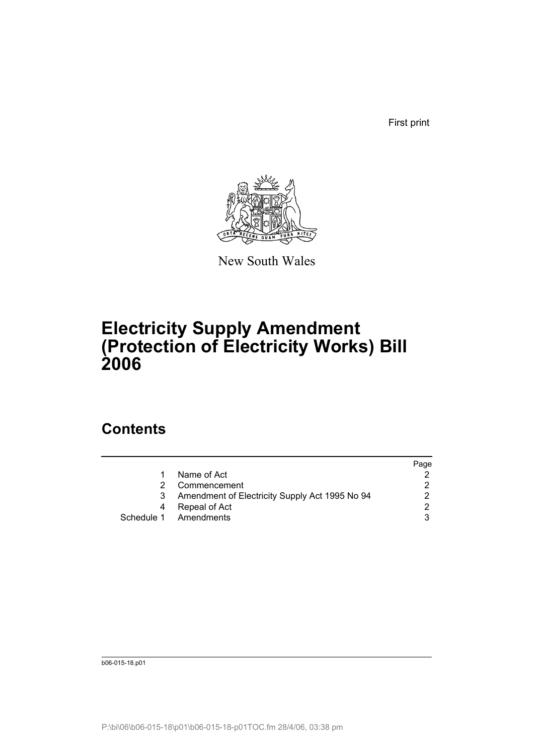First print



New South Wales

# **Electricity Supply Amendment (Protection of Electricity Works) Bill 2006**

## **Contents**

|                                                | Page |
|------------------------------------------------|------|
| Name of Act                                    |      |
| Commencement                                   | 2.   |
| Amendment of Electricity Supply Act 1995 No 94 | 2    |
| Repeal of Act                                  | 2    |
| Schedule 1 Amendments                          | 3    |
|                                                |      |

b06-015-18.p01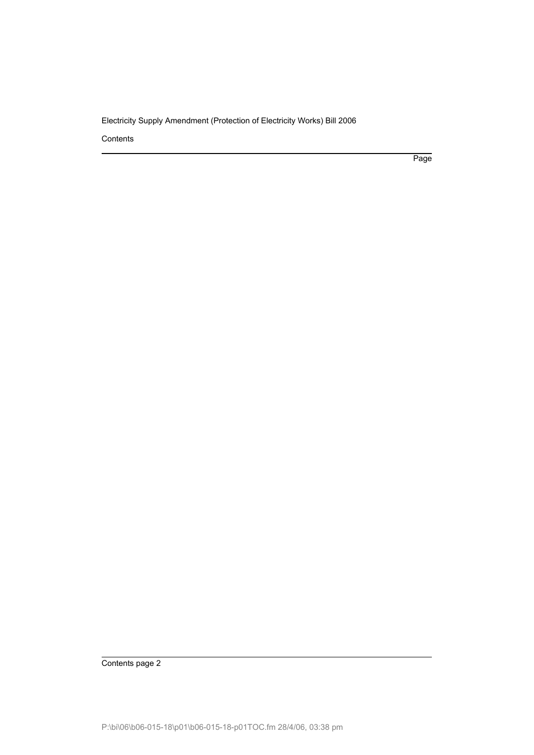Contents

Page

Contents page 2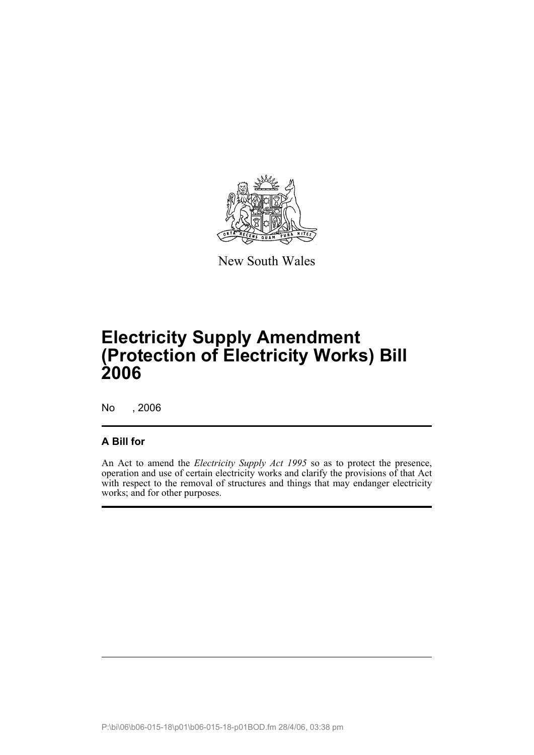

New South Wales

# **Electricity Supply Amendment (Protection of Electricity Works) Bill 2006**

No , 2006

### **A Bill for**

An Act to amend the *Electricity Supply Act 1995* so as to protect the presence, operation and use of certain electricity works and clarify the provisions of that Act with respect to the removal of structures and things that may endanger electricity works; and for other purposes.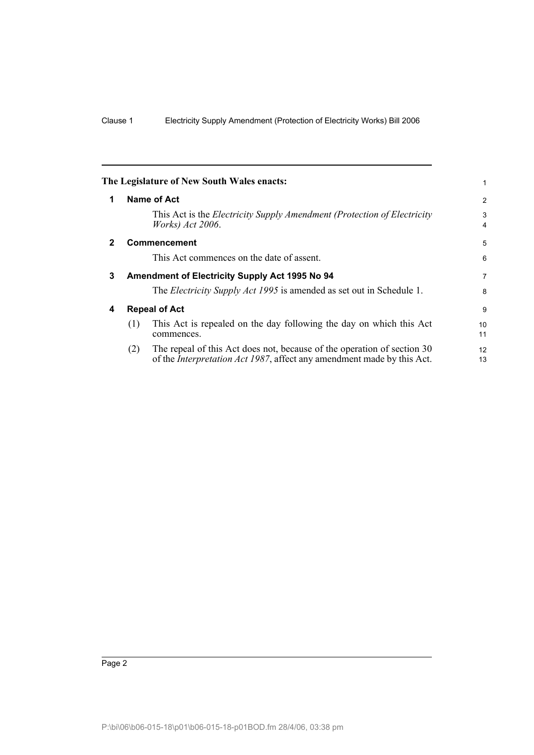<span id="page-7-3"></span><span id="page-7-2"></span><span id="page-7-1"></span><span id="page-7-0"></span>

|              |                                                | The Legislature of New South Wales enacts:                                                                                                                | 1              |
|--------------|------------------------------------------------|-----------------------------------------------------------------------------------------------------------------------------------------------------------|----------------|
| 1            |                                                | Name of Act                                                                                                                                               | 2              |
|              |                                                | This Act is the <i>Electricity Supply Amendment (Protection of Electricity</i><br><i>Works</i> ) Act 2006.                                                | 3<br>4         |
| $\mathbf{2}$ |                                                | <b>Commencement</b>                                                                                                                                       | 5              |
|              |                                                | This Act commences on the date of assent.                                                                                                                 | 6              |
| 3            | Amendment of Electricity Supply Act 1995 No 94 |                                                                                                                                                           | $\overline{7}$ |
|              |                                                | The <i>Electricity Supply Act 1995</i> is amended as set out in Schedule 1.                                                                               | 8              |
| 4            | <b>Repeal of Act</b>                           |                                                                                                                                                           | 9              |
|              | (1)                                            | This Act is repealed on the day following the day on which this Act<br>commences.                                                                         | 10<br>11       |
|              | (2)                                            | The repeal of this Act does not, because of the operation of section 30<br>of the <i>Interpretation Act 1987</i> , affect any amendment made by this Act. | 12<br>13       |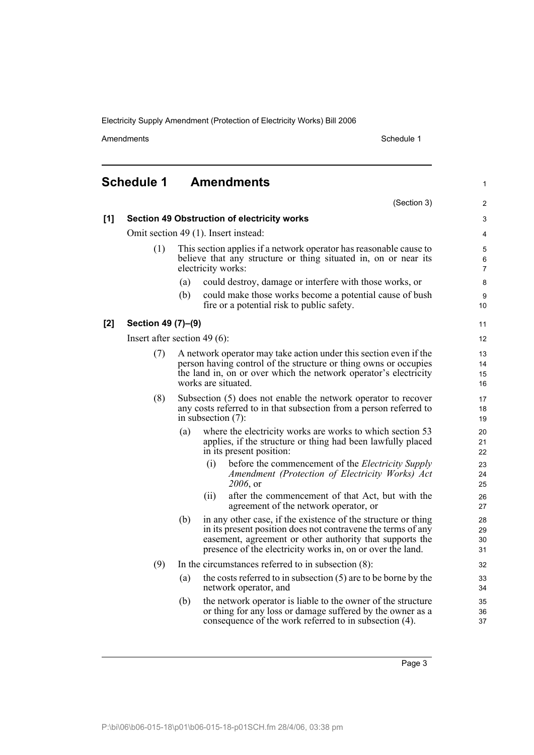Amendments **Amendments** Schedule 1

#### <span id="page-8-0"></span>**Schedule 1 Amendments** (Section 3) **[1] Section 49 Obstruction of electricity works** Omit section 49 (1). Insert instead: (1) This section applies if a network operator has reasonable cause to believe that any structure or thing situated in, on or near its electricity works: (a) could destroy, damage or interfere with those works, or (b) could make those works become a potential cause of bush fire or a potential risk to public safety. **[2] Section 49 (7)–(9)** Insert after section 49 (6): A network operator may take action under this section even if the person having control of the structure or thing owns or occupies the land in, on or over which the network operator's electricity works are situated. (8) Subsection (5) does not enable the network operator to recover any costs referred to in that subsection from a person referred to in subsection (7): (a) where the electricity works are works to which section 53 applies, if the structure or thing had been lawfully placed in its present position: (i) before the commencement of the *Electricity Supply Amendment (Protection of Electricity Works) Act 2006*, or (ii) after the commencement of that Act, but with the agreement of the network operator, or (b) in any other case, if the existence of the structure or thing in its present position does not contravene the terms of any easement, agreement or other authority that supports the presence of the electricity works in, on or over the land. (9) In the circumstances referred to in subsection (8): (a) the costs referred to in subsection  $(5)$  are to be borne by the network operator, and (b) the network operator is liable to the owner of the structure or thing for any loss or damage suffered by the owner as a consequence of the work referred to in subsection (4). 1  $\overline{2}$ 3 4 5 6 7 8 **9** 10 11 12 13 14 15 16 17 18 19 20 21 22  $23$  $24$ 25 26 27 28 29 30 31 32 33 34 35 36 37

Page 3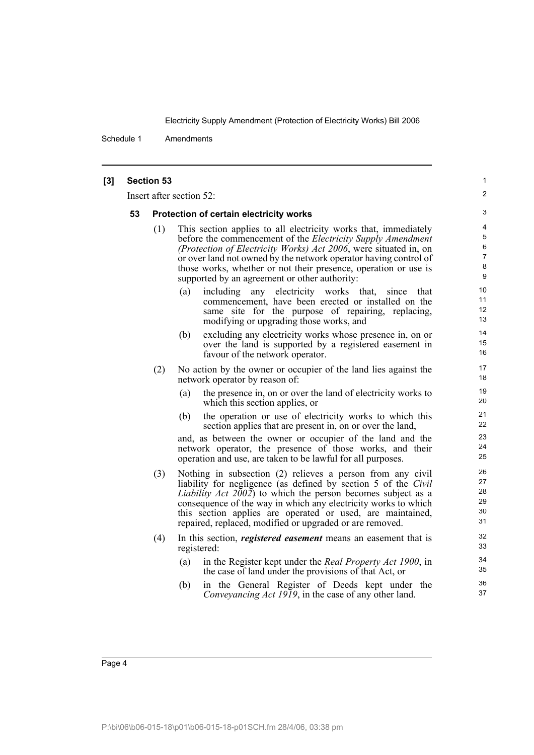Schedule 1 Amendments

|    |     | Insert after section 52:                                                                                                                                                                                                                                                                                                                                                                          |
|----|-----|---------------------------------------------------------------------------------------------------------------------------------------------------------------------------------------------------------------------------------------------------------------------------------------------------------------------------------------------------------------------------------------------------|
| 53 |     | Protection of certain electricity works                                                                                                                                                                                                                                                                                                                                                           |
|    | (1) | This section applies to all electricity works that, immediately<br>before the commencement of the <i>Electricity Supply Amendment</i><br>(Protection of Electricity Works) Act 2006, were situated in, on<br>or over land not owned by the network operator having control of<br>those works, whether or not their presence, operation or use is<br>supported by an agreement or other authority: |
|    |     | including any electricity works that,<br>(a)<br>since that<br>commencement, have been erected or installed on the<br>same site for the purpose of repairing, replacing,<br>modifying or upgrading those works, and                                                                                                                                                                                |
|    |     | excluding any electricity works whose presence in, on or<br>(b)<br>over the land is supported by a registered easement in<br>favour of the network operator.                                                                                                                                                                                                                                      |
|    | (2) | No action by the owner or occupier of the land lies against the<br>network operator by reason of:                                                                                                                                                                                                                                                                                                 |
|    |     | the presence in, on or over the land of electricity works to<br>(a)<br>which this section applies, or                                                                                                                                                                                                                                                                                             |
|    |     | the operation or use of electricity works to which this<br>(b)<br>section applies that are present in, on or over the land,<br>and, as between the owner or occupier of the land and the<br>network operator, the presence of those works, and their<br>operation and use, are taken to be lawful for all purposes.                                                                               |
|    | (3) | Nothing in subsection (2) relieves a person from any civil<br>liability for negligence (as defined by section 5 of the <i>Civil</i><br>Liability Act 2002) to which the person becomes subject as a<br>consequence of the way in which any electricity works to which<br>this section applies are operated or used, are maintained,<br>repaired, replaced, modified or upgraded or are removed.   |
|    | (4) | In this section, <i>registered easement</i> means an easement that is<br>registered:                                                                                                                                                                                                                                                                                                              |
|    |     | in the Register kept under the Real Property Act 1900, in<br>(a)<br>the case of land under the provisions of that Act, or                                                                                                                                                                                                                                                                         |
|    |     | in the General Register of Deeds kept under the<br>(b)<br>Conveyancing Act 1919, in the case of any other land.                                                                                                                                                                                                                                                                                   |